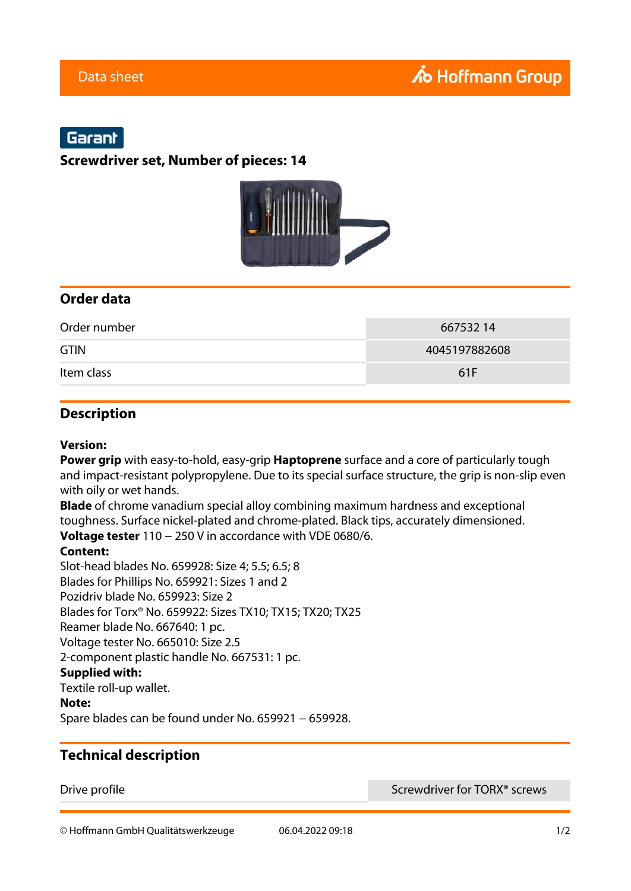# Garant

**Screwdriver set, Number of pieces: 14**



## **Order data**

| Order number | 66753214      |
|--------------|---------------|
| <b>GTIN</b>  | 4045197882608 |
| Item class   | 61F           |

## **Description**

#### **Version:**

**Power grip** with easy-to-hold, easy-grip **Haptoprene** surface and a core of particularly tough and impact-resistant polypropylene. Due to its special surface structure, the grip is non-slip even with oily or wet hands.

**Blade** of chrome vanadium special alloy combining maximum hardness and exceptional toughness. Surface nickel-plated and chrome-plated. Black tips, accurately dimensioned. **Voltage tester** 110 − 250 V in accordance with VDE 0680/6.

#### **Content:**

Slot-head blades No. 659928: Size 4; 5.5; 6.5; 8 Blades for Phillips No. 659921: Sizes 1 and 2 Pozidriv blade No. 659923: Size 2 Blades for Torx® No. 659922: Sizes TX10; TX15; TX20; TX25 Reamer blade No. 667640: 1 pc. Voltage tester No. 665010: Size 2.5 2-component plastic handle No. 667531: 1 pc. **Supplied with:** Textile roll-up wallet.

#### **Note:**

Spare blades can be found under No. 659921 − 659928.

### **Technical description**

Drive profile **Screwdriver for TORX<sup>®</sup> screws** 

© Hoffmann GmbH Qualitätswerkzeuge 06.04.2022 09:18 1/2